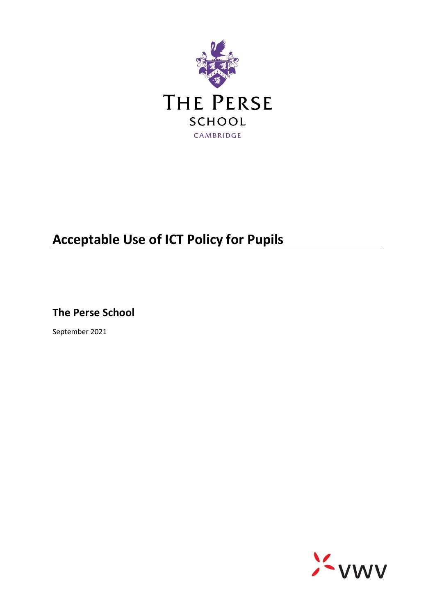

## **Acceptable Use of ICT Policy for Pupils**

**The Perse School**

September 2021

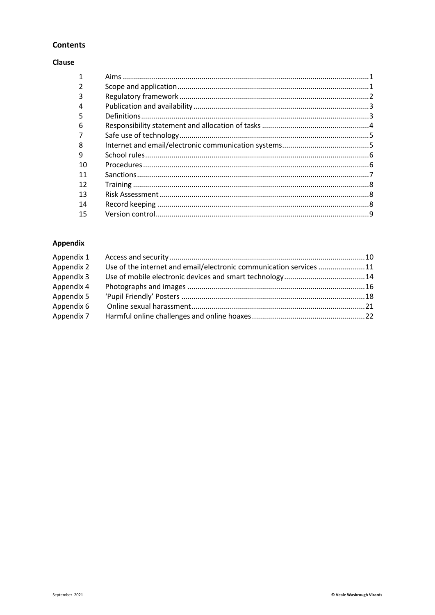#### **Contents**

#### Clause

| 3  |  |
|----|--|
|    |  |
| 5  |  |
| 6  |  |
|    |  |
| 8  |  |
| 9  |  |
| 10 |  |
| 11 |  |
| 12 |  |
| 13 |  |
| 14 |  |
| 15 |  |
|    |  |

#### Appendix

| Use of the internet and email/electronic communication services 11 |  |
|--------------------------------------------------------------------|--|
|                                                                    |  |
|                                                                    |  |
|                                                                    |  |
|                                                                    |  |
|                                                                    |  |
|                                                                    |  |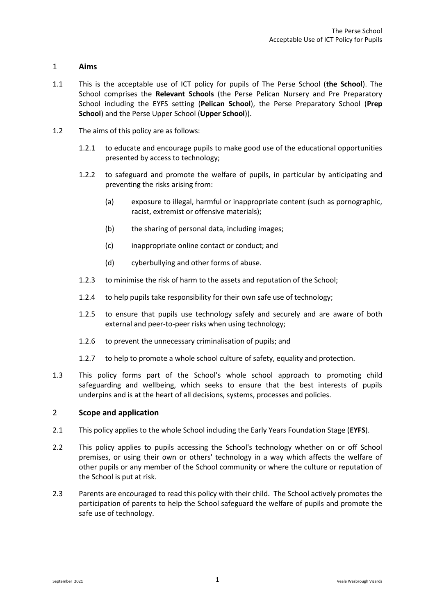#### <span id="page-2-0"></span>1 **Aims**

- 1.1 This is the acceptable use of ICT policy for pupils of The Perse School (**the School**). The School comprises the **Relevant Schools** (the Perse Pelican Nursery and Pre Preparatory School including the EYFS setting (**Pelican School**), the Perse Preparatory School (**Prep School**) and the Perse Upper School (**Upper School**)).
- 1.2 The aims of this policy are as follows:
	- 1.2.1 to educate and encourage pupils to make good use of the educational opportunities presented by access to technology;
	- 1.2.2 to safeguard and promote the welfare of pupils, in particular by anticipating and preventing the risks arising from:
		- (a) exposure to illegal, harmful or inappropriate content (such as pornographic, racist, extremist or offensive materials);
		- (b) the sharing of personal data, including images;
		- (c) inappropriate online contact or conduct; and
		- (d) cyberbullying and other forms of abuse.
	- 1.2.3 to minimise the risk of harm to the assets and reputation of the School;
	- 1.2.4 to help pupils take responsibility for their own safe use of technology;
	- 1.2.5 to ensure that pupils use technology safely and securely and are aware of both external and peer-to-peer risks when using technology;
	- 1.2.6 to prevent the unnecessary criminalisation of pupils; and
	- 1.2.7 to help to promote a whole school culture of safety, equality and protection.
- 1.3 This policy forms part of the School's whole school approach to promoting child safeguarding and wellbeing, which seeks to ensure that the best interests of pupils underpins and is at the heart of all decisions, systems, processes and policies.

#### <span id="page-2-1"></span>2 **Scope and application**

- 2.1 This policy applies to the whole School including the Early Years Foundation Stage (**EYFS**).
- 2.2 This policy applies to pupils accessing the School's technology whether on or off School premises, or using their own or others' technology in a way which affects the welfare of other pupils or any member of the School community or where the culture or reputation of the School is put at risk.
- <span id="page-2-2"></span>2.3 Parents are encouraged to read this policy with their child. The School actively promotes the participation of parents to help the School safeguard the welfare of pupils and promote the safe use of technology.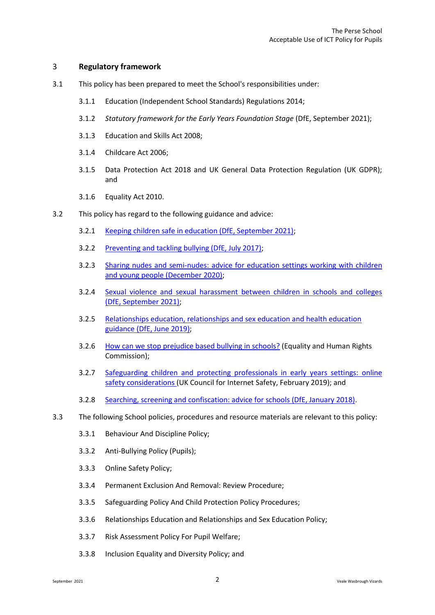#### 3 **Regulatory framework**

- 3.1 This policy has been prepared to meet the School's responsibilities under:
	- 3.1.1 Education (Independent School Standards) Regulations 2014;
	- 3.1.2 *Statutory framework for the Early Years Foundation Stage* (DfE, September 2021);
	- 3.1.3 Education and Skills Act 2008;
	- 3.1.4 Childcare Act 2006;
	- 3.1.5 Data Protection Act 2018 and UK General Data Protection Regulation (UK GDPR); and
	- 3.1.6 Equality Act 2010.
- 3.2 This policy has regard to the following guidance and advice:
	- 3.2.1 [Keeping children safe in education \(DfE, September 2021\);](https://www.gov.uk/government/publications/keeping-children-safe-in-education--2)
	- 3.2.2 [Preventing and tackling bullying \(DfE, July 2017\);](https://www.gov.uk/government/publications/preventing-and-tackling-bullying)
	- 3.2.3 [Sharing nudes and semi-nudes: advice for education settings working with children](https://www.gov.uk/government/publications/sharing-nudes-and-semi-nudes-advice-for-education-settings-working-with-children-and-young-people)  [and young people \(December 2020\);](https://www.gov.uk/government/publications/sharing-nudes-and-semi-nudes-advice-for-education-settings-working-with-children-and-young-people)
	- 3.2.4 [Sexual violence and sexual harassment between children in schools and colleges](https://www.gov.uk/government/publications/sexual-violence-and-sexual-harassment-between-children-in-schools-and-colleges)  [\(DfE, September 2021\);](https://www.gov.uk/government/publications/sexual-violence-and-sexual-harassment-between-children-in-schools-and-colleges)
	- 3.2.5 [Relationships education, relationships and sex education and health education](https://www.gov.uk/government/publications/relationships-education-relationships-and-sex-education-rse-and-health-education)  [guidance \(DfE, June 2019\);](https://www.gov.uk/government/publications/relationships-education-relationships-and-sex-education-rse-and-health-education)
	- 3.2.6 [How can we stop prejudice based bullying in schools?](https://www.equalityhumanrights.com/en/advice-and-guidance/how-can-we-stop-prejudice-based-bullying-schools) (Equality and Human Rights Commission);
	- 3.2.7 [Safeguarding children and protecting professionals in early years settings: online](https://www.gov.uk/government/publications/safeguarding-children-and-protecting-professionals-in-early-years-settings-online-safety-considerations)  [safety considerations \(](https://www.gov.uk/government/publications/safeguarding-children-and-protecting-professionals-in-early-years-settings-online-safety-considerations)UK Council for Internet Safety, February 2019); and
	- 3.2.8 [Searching, screening and confiscation: advice for schools \(DfE, January 2018\).](https://www.gov.uk/government/publications/searching-screening-and-confiscation)
- 3.3 The following School policies, procedures and resource materials are relevant to this policy:
	- 3.3.1 Behaviour And Discipline Policy;
	- 3.3.2 Anti-Bullying Policy (Pupils);
	- 3.3.3 Online Safety Policy;
	- 3.3.4 Permanent Exclusion And Removal: Review Procedure;
	- 3.3.5 Safeguarding Policy And Child Protection Policy Procedures;
	- 3.3.6 Relationships Education and Relationships and Sex Education Policy;
	- 3.3.7 Risk Assessment Policy For Pupil Welfare;
	- 3.3.8 Inclusion Equality and Diversity Policy; and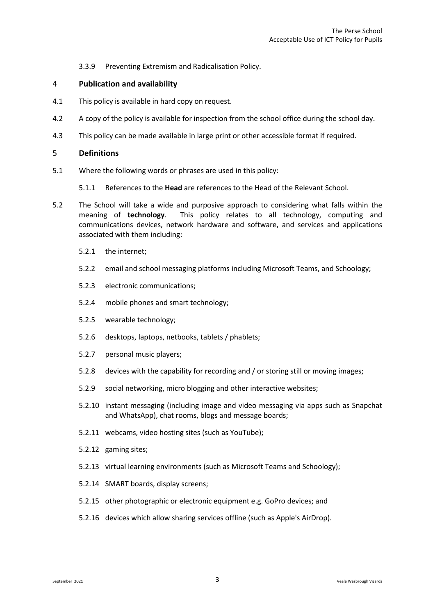3.3.9 Preventing Extremism and Radicalisation Policy.

#### <span id="page-4-0"></span>4 **Publication and availability**

- 4.1 This policy is available in hard copy on request.
- 4.2 A copy of the policy is available for inspection from the school office during the school day.
- 4.3 This policy can be made available in large print or other accessible format if required.

#### <span id="page-4-1"></span>5 **Definitions**

5.1 Where the following words or phrases are used in this policy:

5.1.1 References to the **Head** are references to the Head of the Relevant School.

- <span id="page-4-2"></span>5.2 The School will take a wide and purposive approach to considering what falls within the meaning of **technology**. This policy relates to all technology, computing and communications devices, network hardware and software, and services and applications associated with them including:
	- 5.2.1 the internet;
	- 5.2.2 email and school messaging platforms including Microsoft Teams, and Schoology;
	- 5.2.3 electronic communications;
	- 5.2.4 mobile phones and smart technology;
	- 5.2.5 wearable technology;
	- 5.2.6 desktops, laptops, netbooks, tablets / phablets;
	- 5.2.7 personal music players;
	- 5.2.8 devices with the capability for recording and / or storing still or moving images;
	- 5.2.9 social networking, micro blogging and other interactive websites;
	- 5.2.10 instant messaging (including image and video messaging via apps such as Snapchat and WhatsApp), chat rooms, blogs and message boards;
	- 5.2.11 webcams, video hosting sites (such as YouTube);
	- 5.2.12 gaming sites;
	- 5.2.13 virtual learning environments (such as Microsoft Teams and Schoology);
	- 5.2.14 SMART boards, display screens;
	- 5.2.15 other photographic or electronic equipment e.g. GoPro devices; and
	- 5.2.16 devices which allow sharing services offline (such as Apple's AirDrop).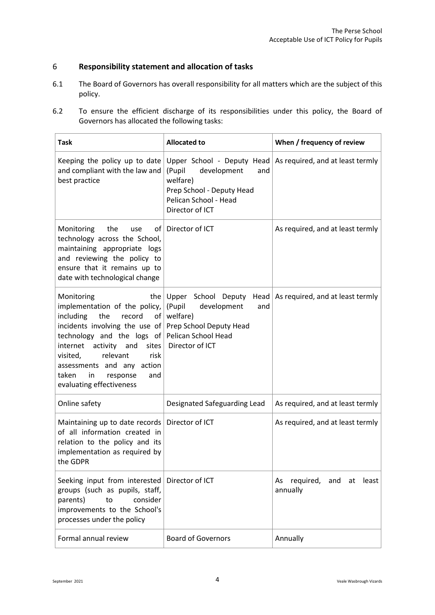#### 6 **Responsibility statement and allocation of tasks**

- 6.1 The Board of Governors has overall responsibility for all matters which are the subject of this policy.
- 6.2 To ensure the efficient discharge of its responsibilities under this policy, the Board of Governors has allocated the following tasks:

<span id="page-5-0"></span>

| <b>Task</b>                                                                                                                                                                                                                                                                                                                                                                   | <b>Allocated to</b>                                                                                               | When / frequency of review                                          |
|-------------------------------------------------------------------------------------------------------------------------------------------------------------------------------------------------------------------------------------------------------------------------------------------------------------------------------------------------------------------------------|-------------------------------------------------------------------------------------------------------------------|---------------------------------------------------------------------|
| Keeping the policy up to date<br>and compliant with the law and<br>best practice                                                                                                                                                                                                                                                                                              | (Pupil<br>development<br>and<br>welfare)<br>Prep School - Deputy Head<br>Pelican School - Head<br>Director of ICT | Upper School - Deputy Head $\vert$ As required, and at least termly |
| the<br>of  <br>Monitoring<br>use<br>technology across the School,<br>maintaining appropriate logs<br>and reviewing the policy to<br>ensure that it remains up to<br>date with technological change                                                                                                                                                                            | Director of ICT                                                                                                   | As required, and at least termly                                    |
| Monitoring<br>the $ $<br>implementation of the policy,<br>the<br>record<br>including<br>of  <br>incidents involving the use of Prep School Deputy Head<br>technology and the logs of Pelican School Head<br>sites $ $<br>internet<br>activity and<br>relevant<br>visited,<br>risk<br>assessments and any action<br>taken<br>in<br>response<br>and<br>evaluating effectiveness | Upper School Deputy<br>Head $ $<br>(Pupil<br>development<br>and<br>welfare)<br>Director of ICT                    | As required, and at least termly                                    |
| Online safety                                                                                                                                                                                                                                                                                                                                                                 | Designated Safeguarding Lead                                                                                      | As required, and at least termly                                    |
| Maintaining up to date records   Director of ICT<br>of all information created in<br>relation to the policy and its<br>implementation as required by<br>the GDPR                                                                                                                                                                                                              |                                                                                                                   | As required, and at least termly                                    |
| Seeking input from interested Director of ICT<br>groups (such as pupils, staff,<br>parents)<br>consider<br>to<br>improvements to the School's<br>processes under the policy                                                                                                                                                                                                   |                                                                                                                   | As required, and at least<br>annually                               |
| Formal annual review                                                                                                                                                                                                                                                                                                                                                          | <b>Board of Governors</b>                                                                                         | Annually                                                            |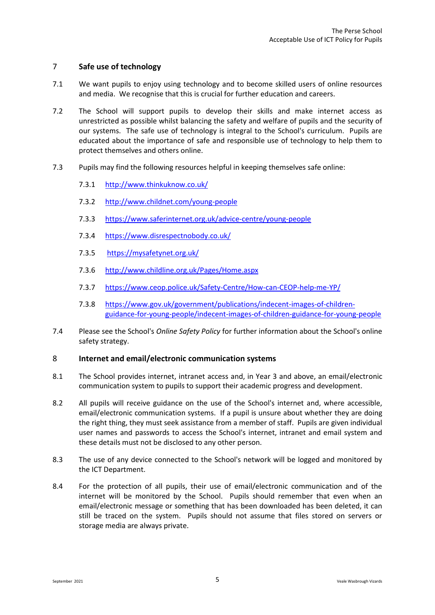#### 7 **Safe use of technology**

- 7.1 We want pupils to enjoy using technology and to become skilled users of online resources and media. We recognise that this is crucial for further education and careers.
- 7.2 The School will support pupils to develop their skills and make internet access as unrestricted as possible whilst balancing the safety and welfare of pupils and the security of our systems. The safe use of technology is integral to the School's curriculum. Pupils are educated about the importance of safe and responsible use of technology to help them to protect themselves and others online.
- 7.3 Pupils may find the following resources helpful in keeping themselves safe online:
	- 7.3.1 <http://www.thinkuknow.co.uk/>
	- 7.3.2 <http://www.childnet.com/young-people>
	- 7.3.3 <https://www.saferinternet.org.uk/advice-centre/young-people>
	- 7.3.4 <https://www.disrespectnobody.co.uk/>
	- 7.3.5 <https://mysafetynet.org.uk/>
	- 7.3.6 <http://www.childline.org.uk/Pages/Home.aspx>
	- 7.3.7 <https://www.ceop.police.uk/Safety-Centre/How-can-CEOP-help-me-YP/>
	- 7.3.8 [https://www.gov.uk/government/publications/indecent-images-of-children](https://www.gov.uk/government/publications/indecent-images-of-children-guidance-for-young-people/indecent-images-of-children-guidance-for-young-people)[guidance-for-young-people/indecent-images-of-children-guidance-for-young-people](https://www.gov.uk/government/publications/indecent-images-of-children-guidance-for-young-people/indecent-images-of-children-guidance-for-young-people)
- 7.4 Please see the School's *Online Safety Policy* for further information about the School's online safety strategy.

#### <span id="page-6-0"></span>8 **Internet and email/electronic communication systems**

- 8.1 The School provides internet, intranet access and, in Year 3 and above, an email/electronic communication system to pupils to support their academic progress and development.
- 8.2 All pupils will receive guidance on the use of the School's internet and, where accessible, email/electronic communication systems. If a pupil is unsure about whether they are doing the right thing, they must seek assistance from a member of staff. Pupils are given individual user names and passwords to access the School's internet, intranet and email system and these details must not be disclosed to any other person.
- 8.3 The use of any device connected to the School's network will be logged and monitored by the ICT Department.
- 8.4 For the protection of all pupils, their use of email/electronic communication and of the internet will be monitored by the School. Pupils should remember that even when an email/electronic message or something that has been downloaded has been deleted, it can still be traced on the system. Pupils should not assume that files stored on servers or storage media are always private.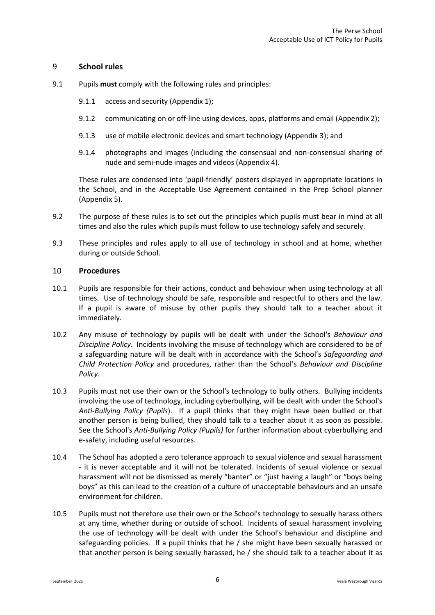#### <span id="page-7-0"></span>9 **School rules**

- 9.1 Pupils **must** comply with the following rules and principles:
	- 9.1.1 access and security [\(Appendix 1\)](#page-11-0);
	- 9.1.2 communicating on or off-line using devices, apps, platforms and email [\(Appendix 2\)](#page-12-0);
	- 9.1.3 use of mobile electronic devices and smart technology [\(Appendix 3\)](#page-15-0); and
	- 9.1.4 photographs and images (including the consensual and non-consensual sharing of nude and semi-nude images and videos [\(Appendix 4\)](#page-17-0).

These rules are condensed into 'pupil-friendly' posters displayed in appropriate locations in the School, and in the Acceptable Use Agreement contained in the Prep School planner (Appendix 5).

- 9.2 The purpose of these rules is to set out the principles which pupils must bear in mind at all times and also the rules which pupils must follow to use technology safely and securely.
- 9.3 These principles and rules apply to all use of technology in school and at home, whether during or outside School.

#### <span id="page-7-1"></span>10 **Procedures**

- 10.1 Pupils are responsible for their actions, conduct and behaviour when using technology at all times. Use of technology should be safe, responsible and respectful to others and the law. If a pupil is aware of misuse by other pupils they should talk to a teacher about it immediately.
- 10.2 Any misuse of technology by pupils will be dealt with under the School's *Behaviour and Discipline Policy*. Incidents involving the misuse of technology which are considered to be of a safeguarding nature will be dealt with in accordance with the School's *Safeguarding and Child Protection Policy* and procedures, rather than the School's *Behaviour and Discipline Policy*.
- 10.3 Pupils must not use their own or the School's technology to bully others. Bullying incidents involving the use of technology, including cyberbullying, will be dealt with under the School's *Anti-Bullying Policy (Pupils*). If a pupil thinks that they might have been bullied or that another person is being bullied, they should talk to a teacher about it as soon as possible. See the School's *Anti-Bullying Policy (Pupils)* for further information about cyberbullying and e-safety, including useful resources.
- 10.4 The School has adopted a zero tolerance approach to sexual violence and sexual harassment - it is never acceptable and it will not be tolerated. Incidents of sexual violence or sexual harassment will not be dismissed as merely "banter" or "just having a laugh" or "boys being boys" as this can lead to the creation of a culture of unacceptable behaviours and an unsafe environment for children.
- 10.5 Pupils must not therefore use their own or the School's technology to sexually harass others at any time, whether during or outside of school. Incidents of sexual harassment involving the use of technology will be dealt with under the School's behaviour and discipline and safeguarding policies. If a pupil thinks that he / she might have been sexually harassed or that another person is being sexually harassed, he / she should talk to a teacher about it as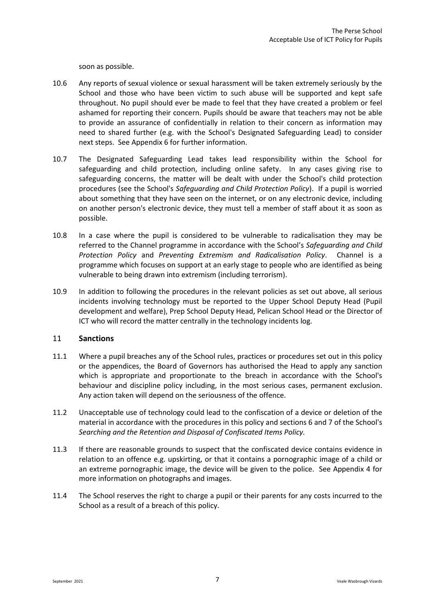soon as possible.

- 10.6 Any reports of sexual violence or sexual harassment will be taken extremely seriously by the School and those who have been victim to such abuse will be supported and kept safe throughout. No pupil should ever be made to feel that they have created a problem or feel ashamed for reporting their concern. Pupils should be aware that teachers may not be able to provide an assurance of confidentially in relation to their concern as information may need to shared further (e.g. with the School's Designated Safeguarding Lead) to consider next steps. See Appendix 6 for further information.
- 10.7 The Designated Safeguarding Lead takes lead responsibility within the School for safeguarding and child protection, including online safety. In any cases giving rise to safeguarding concerns, the matter will be dealt with under the School's child protection procedures (see the School's *Safeguarding and Child Protection Policy*). If a pupil is worried about something that they have seen on the internet, or on any electronic device, including on another person's electronic device, they must tell a member of staff about it as soon as possible.
- 10.8 In a case where the pupil is considered to be vulnerable to radicalisation they may be referred to the Channel programme in accordance with the School's *Safeguarding and Child Protection Policy* and *Preventing Extremism and Radicalisation Policy*. Channel is a programme which focuses on support at an early stage to people who are identified as being vulnerable to being drawn into extremism (including terrorism).
- 10.9 In addition to following the procedures in the relevant policies as set out above, all serious incidents involving technology must be reported to the Upper School Deputy Head (Pupil development and welfare), Prep School Deputy Head, Pelican School Head or the Director of ICT who will record the matter centrally in the technology incidents log.

#### <span id="page-8-0"></span>11 **Sanctions**

- 11.1 Where a pupil breaches any of the School rules, practices or procedures set out in this policy or the appendices, the Board of Governors has authorised the Head to apply any sanction which is appropriate and proportionate to the breach in accordance with the School's behaviour and discipline policy including, in the most serious cases, permanent exclusion. Any action taken will depend on the seriousness of the offence.
- 11.2 Unacceptable use of technology could lead to the confiscation of a device or deletion of the material in accordance with the procedures in this policy and sections 6 and 7 of the School's *Searching and the Retention and Disposal of Confiscated Items Policy.*
- <span id="page-8-2"></span>11.3 If there are reasonable grounds to suspect that the confiscated device contains evidence in relation to an offence e.g. upskirting, or that it contains a pornographic image of a child or an extreme pornographic image, the device will be given to the police. See Appendix 4 for more information on photographs and images.
- <span id="page-8-1"></span>11.4 The School reserves the right to charge a pupil or their parents for any costs incurred to the School as a result of a breach of this policy.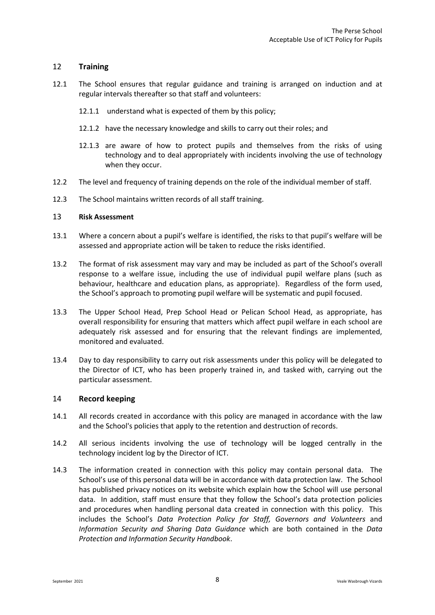#### 12 **Training**

- 12.1 The School ensures that regular guidance and training is arranged on induction and at regular intervals thereafter so that staff and volunteers:
	- 12.1.1 understand what is expected of them by this policy;
	- 12.1.2 have the necessary knowledge and skills to carry out their roles; and
	- 12.1.3 are aware of how to protect pupils and themselves from the risks of using technology and to deal appropriately with incidents involving the use of technology when they occur.
- 12.2 The level and frequency of training depends on the role of the individual member of staff.
- 12.3 The School maintains written records of all staff training.

#### <span id="page-9-0"></span>13 **Risk Assessment**

- 13.1 Where a concern about a pupil's welfare is identified, the risks to that pupil's welfare will be assessed and appropriate action will be taken to reduce the risks identified.
- 13.2 The format of risk assessment may vary and may be included as part of the School's overall response to a welfare issue, including the use of individual pupil welfare plans (such as behaviour, healthcare and education plans, as appropriate). Regardless of the form used, the School's approach to promoting pupil welfare will be systematic and pupil focused.
- 13.3 The Upper School Head, Prep School Head or Pelican School Head, as appropriate, has overall responsibility for ensuring that matters which affect pupil welfare in each school are adequately risk assessed and for ensuring that the relevant findings are implemented, monitored and evaluated.
- 13.4 Day to day responsibility to carry out risk assessments under this policy will be delegated to the Director of ICT, who has been properly trained in, and tasked with, carrying out the particular assessment.

#### <span id="page-9-1"></span>14 **Record keeping**

- 14.1 All records created in accordance with this policy are managed in accordance with the law and the School's policies that apply to the retention and destruction of records.
- 14.2 All serious incidents involving the use of technology will be logged centrally in the technology incident log by the Director of ICT.
- <span id="page-9-2"></span>14.3 The information created in connection with this policy may contain personal data. The School's use of this personal data will be in accordance with data protection law. The School has published privacy notices on its website which explain how the School will use personal data. In addition, staff must ensure that they follow the School's data protection policies and procedures when handling personal data created in connection with this policy. This includes the School's *Data Protection Policy for Staff, Governors and Volunteers* and *Information Security and Sharing Data Guidance* which are both contained in the *Data Protection and Information Security Handbook*.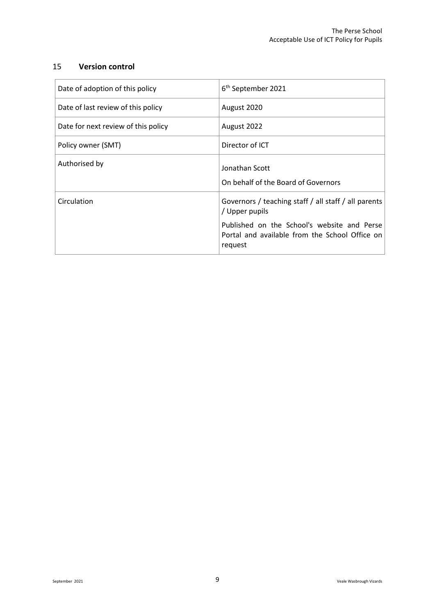#### 15 **Version control**

| Date of adoption of this policy     | 6 <sup>th</sup> September 2021                                                                           |  |
|-------------------------------------|----------------------------------------------------------------------------------------------------------|--|
| Date of last review of this policy  | August 2020                                                                                              |  |
| Date for next review of this policy | August 2022                                                                                              |  |
| Policy owner (SMT)                  | Director of ICT                                                                                          |  |
| Authorised by                       | Jonathan Scott<br>On behalf of the Board of Governors                                                    |  |
| Circulation                         | Governors / teaching staff / all staff / all parents<br>/ Upper pupils                                   |  |
|                                     | Published on the School's website and Perse<br>Portal and available from the School Office on<br>request |  |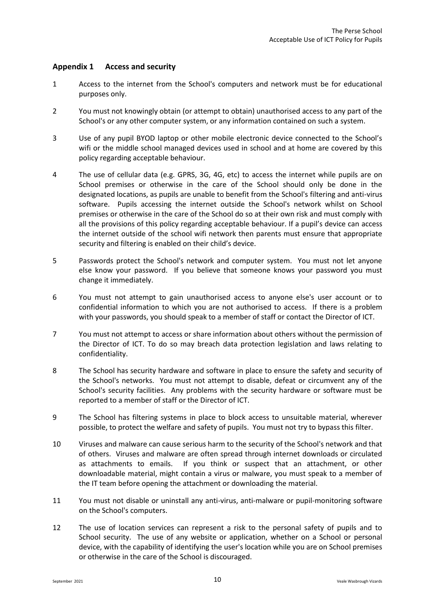#### <span id="page-11-0"></span>**Appendix 1 Access and security**

- 1 Access to the internet from the School's computers and network must be for educational purposes only.
- 2 You must not knowingly obtain (or attempt to obtain) unauthorised access to any part of the School's or any other computer system, or any information contained on such a system.
- 3 Use of any pupil BYOD laptop or other mobile electronic device connected to the School's wifi or the middle school managed devices used in school and at home are covered by this policy regarding acceptable behaviour.
- 4 The use of cellular data (e.g. GPRS, 3G, 4G, etc) to access the internet while pupils are on School premises or otherwise in the care of the School should only be done in the designated locations, as pupils are unable to benefit from the School's filtering and anti-virus software. Pupils accessing the internet outside the School's network whilst on School premises or otherwise in the care of the School do so at their own risk and must comply with all the provisions of this policy regarding acceptable behaviour. If a pupil's device can access the internet outside of the school wifi network then parents must ensure that appropriate security and filtering is enabled on their child's device.
- 5 Passwords protect the School's network and computer system. You must not let anyone else know your password. If you believe that someone knows your password you must change it immediately.
- 6 You must not attempt to gain unauthorised access to anyone else's user account or to confidential information to which you are not authorised to access. If there is a problem with your passwords, you should speak to a member of staff or contact the Director of ICT.
- 7 You must not attempt to access or share information about others without the permission of the Director of ICT. To do so may breach data protection legislation and laws relating to confidentiality.
- 8 The School has security hardware and software in place to ensure the safety and security of the School's networks. You must not attempt to disable, defeat or circumvent any of the School's security facilities. Any problems with the security hardware or software must be reported to a member of staff or the Director of ICT.
- 9 The School has filtering systems in place to block access to unsuitable material, wherever possible, to protect the welfare and safety of pupils. You must not try to bypass this filter.
- 10 Viruses and malware can cause serious harm to the security of the School's network and that of others. Viruses and malware are often spread through internet downloads or circulated as attachments to emails. If you think or suspect that an attachment, or other downloadable material, might contain a virus or malware, you must speak to a member of the IT team before opening the attachment or downloading the material.
- 11 You must not disable or uninstall any anti-virus, anti-malware or pupil-monitoring software on the School's computers.
- 12 The use of location services can represent a risk to the personal safety of pupils and to School security. The use of any website or application, whether on a School or personal device, with the capability of identifying the user's location while you are on School premises or otherwise in the care of the School is discouraged.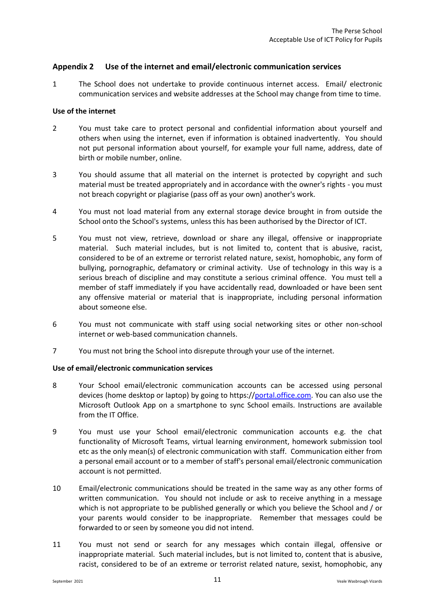#### <span id="page-12-0"></span>**Appendix 2 Use of the internet and email/electronic communication services**

1 The School does not undertake to provide continuous internet access. Email/ electronic communication services and website addresses at the School may change from time to time.

#### **Use of the internet**

- 2 You must take care to protect personal and confidential information about yourself and others when using the internet, even if information is obtained inadvertently. You should not put personal information about yourself, for example your full name, address, date of birth or mobile number, online.
- 3 You should assume that all material on the internet is protected by copyright and such material must be treated appropriately and in accordance with the owner's rights - you must not breach copyright or plagiarise (pass off as your own) another's work.
- 4 You must not load material from any external storage device brought in from outside the School onto the School's systems, unless this has been authorised by the Director of ICT.
- 5 You must not view, retrieve, download or share any illegal, offensive or inappropriate material. Such material includes, but is not limited to, content that is abusive, racist, considered to be of an extreme or terrorist related nature, sexist, homophobic, any form of bullying, pornographic, defamatory or criminal activity. Use of technology in this way is a serious breach of discipline and may constitute a serious criminal offence. You must tell a member of staff immediately if you have accidentally read, downloaded or have been sent any offensive material or material that is inappropriate, including personal information about someone else.
- 6 You must not communicate with staff using social networking sites or other non-school internet or web-based communication channels.
- 7 You must not bring the School into disrepute through your use of the internet.

#### **Use of email/electronic communication services**

- 8 Your School email/electronic communication accounts can be accessed using personal devices (home desktop or laptop) by going to https:/[/portal.office.com.](https://mail.perse.co.uk/owa) You can also use the Microsoft Outlook App on a smartphone to sync School emails. Instructions are available from the IT Office.
- 9 You must use your School email/electronic communication accounts e.g. the chat functionality of Microsoft Teams, virtual learning environment, homework submission tool etc as the only mean(s) of electronic communication with staff. Communication either from a personal email account or to a member of staff's personal email/electronic communication account is not permitted.
- 10 Email/electronic communications should be treated in the same way as any other forms of written communication. You should not include or ask to receive anything in a message which is not appropriate to be published generally or which you believe the School and / or your parents would consider to be inappropriate. Remember that messages could be forwarded to or seen by someone you did not intend.
- 11 You must not send or search for any messages which contain illegal, offensive or inappropriate material. Such material includes, but is not limited to, content that is abusive, racist, considered to be of an extreme or terrorist related nature, sexist, homophobic, any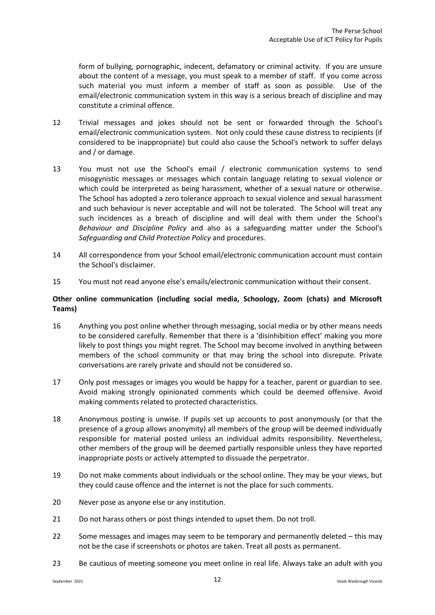form of bullying, pornographic, indecent, defamatory or criminal activity. If you are unsure about the content of a message, you must speak to a member of staff. If you come across such material you must inform a member of staff as soon as possible. Use of the email/electronic communication system in this way is a serious breach of discipline and may constitute a criminal offence.

- 12 Trivial messages and jokes should not be sent or forwarded through the School's email/electronic communication system. Not only could these cause distress to recipients (if considered to be inappropriate) but could also cause the School's network to suffer delays and / or damage.
- 13 You must not use the School's email / electronic communication systems to send misogynistic messages or messages which contain language relating to sexual violence or which could be interpreted as being harassment, whether of a sexual nature or otherwise. The School has adopted a zero tolerance approach to sexual violence and sexual harassment and such behaviour is never acceptable and will not be tolerated. The School will treat any such incidences as a breach of discipline and will deal with them under the School's *Behaviour and Discipline Policy* and also as a safeguarding matter under the School's *Safeguarding and Child Protection Policy* and procedures.
- 14 All correspondence from your School email/electronic communication account must contain the School's disclaimer.
- 15 You must not read anyone else's emails/electronic communication without their consent.

#### **Other online communication (including social media, Schoology, Zoom (chats) and Microsoft Teams)**

- 16 Anything you post online whether through messaging, social media or by other means needs to be considered carefully. Remember that there is a 'disinhibition effect' making you more likely to post things you might regret. The School may become involved in anything between members of the school community or that may bring the school into disrepute. Private conversations are rarely private and should not be considered so.
- 17 Only post messages or images you would be happy for a teacher, parent or guardian to see. Avoid making strongly opinionated comments which could be deemed offensive. Avoid making comments related to protected characteristics.
- 18 Anonymous posting is unwise. If pupils set up accounts to post anonymously (or that the presence of a group allows anonymity) all members of the group will be deemed individually responsible for material posted unless an individual admits responsibility. Nevertheless, other members of the group will be deemed partially responsible unless they have reported inappropriate posts or actively attempted to dissuade the perpetrator.
- 19 Do not make comments about individuals or the school online. They may be your views, but they could cause offence and the internet is not the place for such comments.
- 20 Never pose as anyone else or any institution.
- 21 Do not harass others or post things intended to upset them. Do not troll.
- 22 Some messages and images may seem to be temporary and permanently deleted this may not be the case if screenshots or photos are taken. Treat all posts as permanent.
- 23 Be cautious of meeting someone you meet online in real life. Always take an adult with you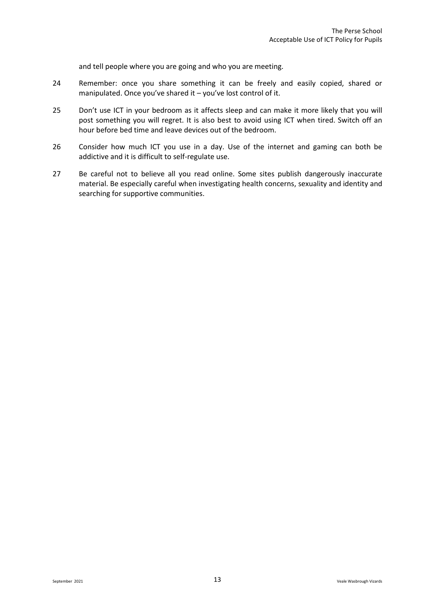and tell people where you are going and who you are meeting.

- 24 Remember: once you share something it can be freely and easily copied, shared or manipulated. Once you've shared it – you've lost control of it.
- 25 Don't use ICT in your bedroom as it affects sleep and can make it more likely that you will post something you will regret. It is also best to avoid using ICT when tired. Switch off an hour before bed time and leave devices out of the bedroom.
- 26 Consider how much ICT you use in a day. Use of the internet and gaming can both be addictive and it is difficult to self-regulate use.
- 27 Be careful not to believe all you read online. Some sites publish dangerously inaccurate material. Be especially careful when investigating health concerns, sexuality and identity and searching for supportive communities.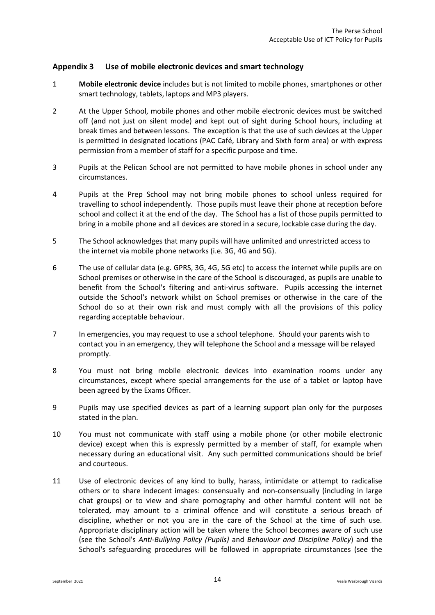#### <span id="page-15-0"></span>**Appendix 3 Use of mobile electronic devices and smart technology**

- 1 **Mobile electronic device** includes but is not limited to mobile phones, smartphones or other smart technology, tablets, laptops and MP3 players.
- 2 At the Upper School, mobile phones and other mobile electronic devices must be switched off (and not just on silent mode) and kept out of sight during School hours, including at break times and between lessons. The exception is that the use of such devices at the Upper is permitted in designated locations (PAC Café, Library and Sixth form area) or with express permission from a member of staff for a specific purpose and time.
- 3 Pupils at the Pelican School are not permitted to have mobile phones in school under any circumstances.
- 4 Pupils at the Prep School may not bring mobile phones to school unless required for travelling to school independently. Those pupils must leave their phone at reception before school and collect it at the end of the day. The School has a list of those pupils permitted to bring in a mobile phone and all devices are stored in a secure, lockable case during the day.
- 5 The School acknowledges that many pupils will have unlimited and unrestricted access to the internet via mobile phone networks (i.e. 3G, 4G and 5G).
- 6 The use of cellular data (e.g. GPRS, 3G, 4G, 5G etc) to access the internet while pupils are on School premises or otherwise in the care of the School is discouraged, as pupils are unable to benefit from the School's filtering and anti-virus software. Pupils accessing the internet outside the School's network whilst on School premises or otherwise in the care of the School do so at their own risk and must comply with all the provisions of this policy regarding acceptable behaviour.
- 7 In emergencies, you may request to use a school telephone. Should your parents wish to contact you in an emergency, they will telephone the School and a message will be relayed promptly.
- 8 You must not bring mobile electronic devices into examination rooms under any circumstances, except where special arrangements for the use of a tablet or laptop have been agreed by the Exams Officer.
- 9 Pupils may use specified devices as part of a learning support plan only for the purposes stated in the plan.
- 10 You must not communicate with staff using a mobile phone (or other mobile electronic device) except when this is expressly permitted by a member of staff, for example when necessary during an educational visit. Any such permitted communications should be brief and courteous.
- 11 Use of electronic devices of any kind to bully, harass, intimidate or attempt to radicalise others or to share indecent images: consensually and non-consensually (including in large chat groups) or to view and share pornography and other harmful content will not be tolerated, may amount to a criminal offence and will constitute a serious breach of discipline, whether or not you are in the care of the School at the time of such use. Appropriate disciplinary action will be taken where the School becomes aware of such use (see the School's *Anti-Bullying Policy (Pupils)* and *Behaviour and Discipline Policy*) and the School's safeguarding procedures will be followed in appropriate circumstances (see the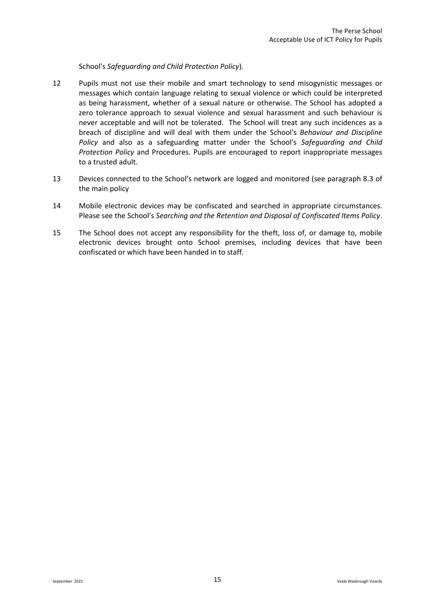School's *Safeguarding and Child Protection Policy*).

- 12 Pupils must not use their mobile and smart technology to send misogynistic messages or messages which contain language relating to sexual violence or which could be interpreted as being harassment, whether of a sexual nature or otherwise. The School has adopted a zero tolerance approach to sexual violence and sexual harassment and such behaviour is never acceptable and will not be tolerated. The School will treat any such incidences as a breach of discipline and will deal with them under the School's *Behaviour and Discipline Policy* and also as a safeguarding matter under the School's *Safeguarding and Child Protection Policy* and Procedures. Pupils are encouraged to report inappropriate messages to a trusted adult.
- 13 Devices connected to the School's network are logged and monitored (see paragraph 8.3 of the main policy
- 14 Mobile electronic devices may be confiscated and searched in appropriate circumstances. Please see the School's *Searching and the Retention and Disposal of Confiscated Items Policy*.
- 15 The School does not accept any responsibility for the theft, loss of, or damage to, mobile electronic devices brought onto School premises, including devices that have been confiscated or which have been handed in to staff.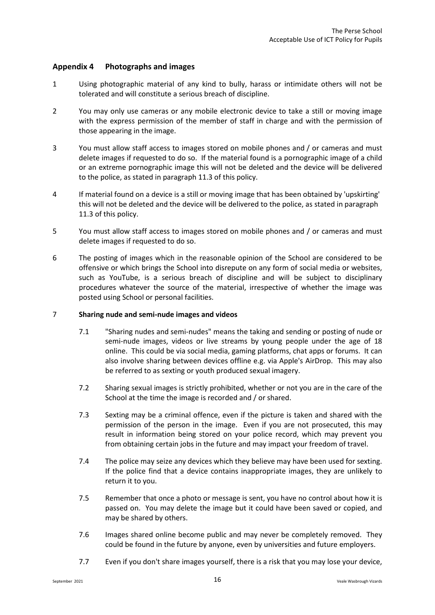#### <span id="page-17-0"></span>**Appendix 4 Photographs and images**

- 1 Using photographic material of any kind to bully, harass or intimidate others will not be tolerated and will constitute a serious breach of discipline.
- 2 You may only use cameras or any mobile electronic device to take a still or moving image with the express permission of the member of staff in charge and with the permission of those appearing in the image.
- 3 You must allow staff access to images stored on mobile phones and / or cameras and must delete images if requested to do so. If the material found is a pornographic image of a child or an extreme pornographic image this will not be deleted and the device will be delivered to the police, as stated in paragraph [11.3](#page-8-2) of this policy.
- 4 If material found on a device is a still or moving image that has been obtained by 'upskirting' this will not be deleted and the device will be delivered to the police, as stated in paragraph [11.3](#page-8-2) of this policy.
- 5 You must allow staff access to images stored on mobile phones and / or cameras and must delete images if requested to do so.
- 6 The posting of images which in the reasonable opinion of the School are considered to be offensive or which brings the School into disrepute on any form of social media or websites, such as YouTube, is a serious breach of discipline and will be subject to disciplinary procedures whatever the source of the material, irrespective of whether the image was posted using School or personal facilities.

#### 7 **Sharing nude and semi-nude images and videos**

- 7.1 "Sharing nudes and semi-nudes" means the taking and sending or posting of nude or semi-nude images, videos or live streams by young people under the age of 18 online. This could be via social media, gaming platforms, chat apps or forums. It can also involve sharing between devices offline e.g. via Apple's AirDrop. This may also be referred to as sexting or youth produced sexual imagery.
- 7.2 Sharing sexual images is strictly prohibited, whether or not you are in the care of the School at the time the image is recorded and / or shared.
- 7.3 Sexting may be a criminal offence, even if the picture is taken and shared with the permission of the person in the image. Even if you are not prosecuted, this may result in information being stored on your police record, which may prevent you from obtaining certain jobs in the future and may impact your freedom of travel.
- 7.4 The police may seize any devices which they believe may have been used for sexting. If the police find that a device contains inappropriate images, they are unlikely to return it to you.
- 7.5 Remember that once a photo or message is sent, you have no control about how it is passed on. You may delete the image but it could have been saved or copied, and may be shared by others.
- 7.6 Images shared online become public and may never be completely removed. They could be found in the future by anyone, even by universities and future employers.
- 7.7 Even if you don't share images yourself, there is a risk that you may lose your device,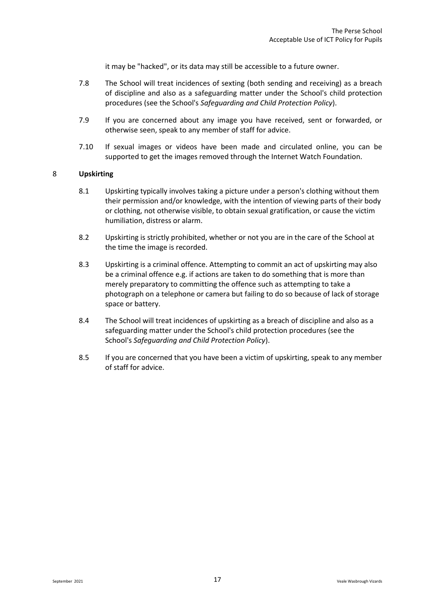it may be "hacked", or its data may still be accessible to a future owner.

- 7.8 The School will treat incidences of sexting (both sending and receiving) as a breach of discipline and also as a safeguarding matter under the School's child protection procedures (see the School's *Safeguarding and Child Protection Policy*).
- 7.9 If you are concerned about any image you have received, sent or forwarded, or otherwise seen, speak to any member of staff for advice.
- 7.10 If sexual images or videos have been made and circulated online, you can be supported to get the images removed through the Internet Watch Foundation.

#### 8 **Upskirting**

- 8.1 Upskirting typically involves taking a picture under a person's clothing without them their permission and/or knowledge, with the intention of viewing parts of their body or clothing, not otherwise visible, to obtain sexual gratification, or cause the victim humiliation, distress or alarm.
- 8.2 Upskirting is strictly prohibited, whether or not you are in the care of the School at the time the image is recorded.
- 8.3 Upskirting is a criminal offence. Attempting to commit an act of upskirting may also be a criminal offence e.g. if actions are taken to do something that is more than merely preparatory to committing the offence such as attempting to take a photograph on a telephone or camera but failing to do so because of lack of storage space or battery.
- 8.4 The School will treat incidences of upskirting as a breach of discipline and also as a safeguarding matter under the School's child protection procedures (see the School's *Safeguarding and Child Protection Policy*).
- 8.5 If you are concerned that you have been a victim of upskirting, speak to any member of staff for advice.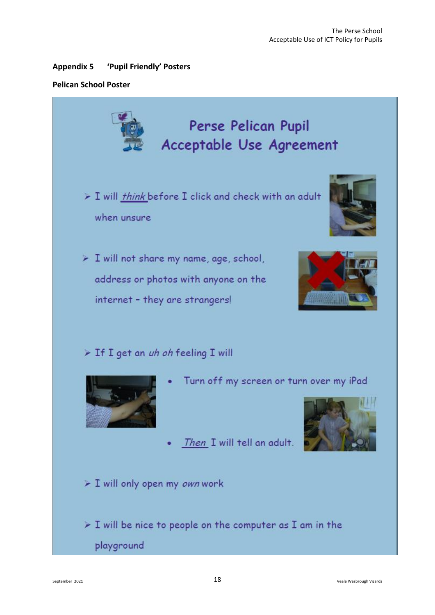#### <span id="page-19-0"></span>**Appendix 5 'Pupil Friendly' Posters**

#### **Pelican School Poster**

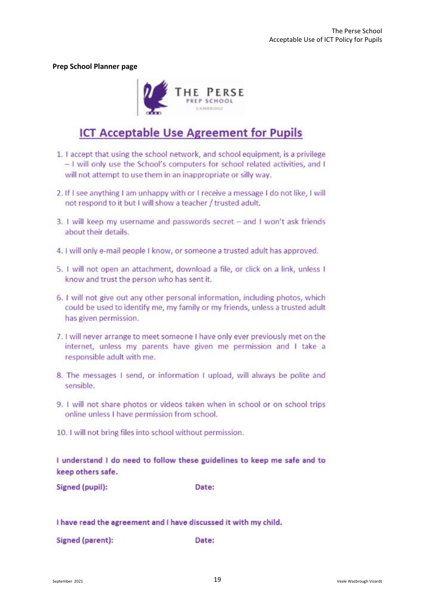**Prep School Planner page**



### **ICT Acceptable Use Agreement for Pupils**

- 1. I accept that using the school network, and school equipment, is a privilege - I will only use the School's computers for school related activities, and I will not attempt to use them in an inappropriate or silly way.
- 2. If I see anything I am unhappy with or I receive a message I do not like, I will not respond to it but I will show a teacher / trusted adult.
- 3. I will keep my username and passwords secret and I won't ask friends about their details.
- 4. I will only e-mail people I know, or someone a trusted adult has approved.
- 5. I will not open an attachment, download a file, or click on a link, unless I know and trust the person who has sent it.
- 6. I will not give out any other personal information, including photos, which could be used to identify me, my family or my friends, unless a trusted adult has given permission.
- 7. I will never arrange to meet someone I have only ever previously met on the internet, unless my parents have given me permission and I take a responsible adult with me.
- 8. The messages I send, or information I upload, will always be polite and sensible.
- 9. I will not share photos or videos taken when in school or on school trips online unless I have permission from school.
- 10. I will not bring files into school without permission.

I understand I do need to follow these guidelines to keep me safe and to keep others safe.

Signed (pupil):

Date:

I have read the agreement and I have discussed it with my child.

Signed (parent): Date: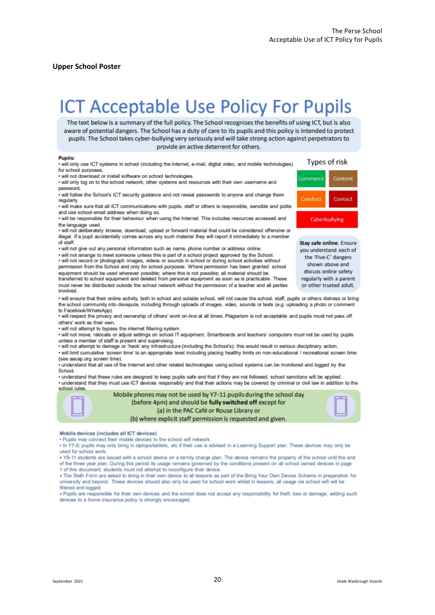#### **Upper School Poster**

# **ICT Acceptable Use Policy For Pupils**

The text below is a summary of the full policy. The School recognises the benefits of using ICT, but is also aware of potential dangers. The School has a duty of care to its pupils and this policy is intended to protect pupils. The School takes cyber-bullying very seriously and will take strong action against perpetrators to provide an active deterrent for others.

#### **Pupils:**

will only use ICT systems in school (including the internet, e-mail, digital video, and mobile technologies) for school purposes.

· will not download or install software on school technologies.

. will only log on to the school network, other systems and resources with their own username and password.

. will follow the School's ICT security guidance and not reveal passwords to anyone and change them regularly

. will make sure that all ICT communications with pupils, staff or others is responsible, sensible and polite and use school email address when doing so.

. will be responsible for their behaviour when using the Internet. This includes resources accessed and the language used.

. will not deliberately browse, download, upload or forward material that could be considered offensive or illegal. If a pupil accidentally comes across any such material they will report it immediately to a member of staff.

• will not give out any personal information such as name, phone number or address online. • will not arrange to meet someone unless this is part of a school project approved by the School.

· will not record or photograph images, videos or sounds in school or during school activities without permission from the School and only for school purposes. Where permission has been granted: school equipment should be used wherever possible; where this is not possible; all material should be transferred to school equipment and deleted from personal equipment as soon as is practicable. These

must never be distributed outside the school network without the permission of a teacher and all parties

. will ensure that their online activity, both in school and outside school, will not cause the school, staff, pupils or others distress or bring the school community into disrepute, including through uploads of images, video, sounds or texts (e.g. uploading a photo or comment to Facebook/WhatsApp).

. will respect the privacy and ownership of others' work on-line at all times. Plagiarism is not acceptable and pupils must not pass off others' work as their own.

· will not attempt to bypass the internet filtering system.

. will not move, relocate or adjust settings on school IT equipment. Smartboards and teachers' computers must not be used by pupils unless a member of staff is present and supervising.

· will not attempt to damage or 'hack' any infrastructure (including the School's); this would result in serious disciplinary action.

. will limit cumulative 'screen time' to an appropriate level including placing healthy limits on non-educational / recreational screen time (see aacap.org screen time).

understand that all use of the Internet and other related technologies using school systems can be monitored and logged by the School.

\* understand that these rules are designed to keep pupils safe and that if they are not followed, school sanctions will be applied. . understand that they must use ICT devices responsibly and that their actions may be covered by criminal or civil law in addition to the school rules



Mobile phones may not be used by Y7-11 pupils during the school day (before 4pm) and should be fully switched off except for (a) in the PAC Café or Rouse Library or (b) where explicit staff permission is requested and given.



Mobile devices (includes all ICT devices)

. Pupils may connect their mobile devices to the school wifi network.

. In Y7-8; pupils may only bring in laptops/tablets, etc if their use is advised in a Learning Support plan. These devices may only be used for school work.

. Y9-11 students are issued with a school device on a termly charge plan. The device remains the property of the school until the end of the three year plan. During this period its usage remains governed by the conditions present on all school owned devices in page 1 of this document; students must not attempt to reconfigure their device.

. The Sixth Form are asked to bring in their own device to all lessons as part of the Bring Your Own Device Scheme in preparation for university and beyond. These devices should also only be used for school work whilst in lessons; all usage via school wifi will be filtered and logged.

. Pupils are responsible for their own devices and the school does not accept any responsibility for theft, loss or damage; adding such devices to a home insurance policy is strongly encouraged.

Types of risk Commerce Content Conduct Contact Cyberbullying

Stay safe online, Ensure you understand each of the 'Five-C' dangers shown above and discuss online safety regularly with a parent or other trusted adult.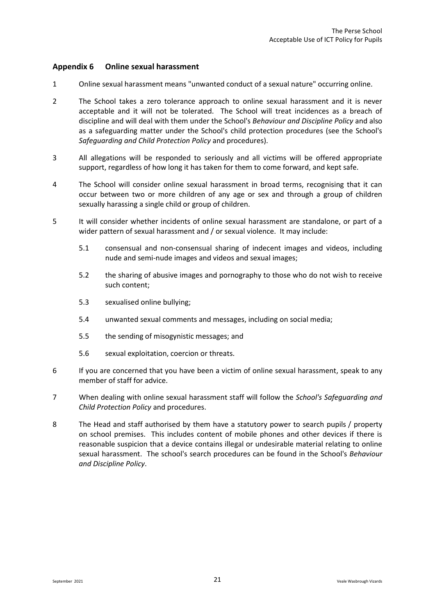#### <span id="page-22-0"></span>**Appendix 6 Online sexual harassment**

- 1 Online sexual harassment means "unwanted conduct of a sexual nature" occurring online.
- 2 The School takes a zero tolerance approach to online sexual harassment and it is never acceptable and it will not be tolerated. The School will treat incidences as a breach of discipline and will deal with them under the School's *Behaviour and Discipline Policy* and also as a safeguarding matter under the School's child protection procedures (see the School's *Safeguarding and Child Protection Policy* and procedures).
- 3 All allegations will be responded to seriously and all victims will be offered appropriate support, regardless of how long it has taken for them to come forward, and kept safe.
- 4 The School will consider online sexual harassment in broad terms, recognising that it can occur between two or more children of any age or sex and through a group of children sexually harassing a single child or group of children.
- 5 It will consider whether incidents of online sexual harassment are standalone, or part of a wider pattern of sexual harassment and / or sexual violence. It may include:
	- 5.1 consensual and non-consensual sharing of indecent images and videos, including nude and semi-nude images and videos and sexual images;
	- 5.2 the sharing of abusive images and pornography to those who do not wish to receive such content;
	- 5.3 sexualised online bullying;
	- 5.4 unwanted sexual comments and messages, including on social media;
	- 5.5 the sending of misogynistic messages; and
	- 5.6 sexual exploitation, coercion or threats.
- 6 If you are concerned that you have been a victim of online sexual harassment, speak to any member of staff for advice.
- 7 When dealing with online sexual harassment staff will follow the *School's Safeguarding and Child Protection Policy* and procedures.
- 8 The Head and staff authorised by them have a statutory power to search pupils / property on school premises. This includes content of mobile phones and other devices if there is reasonable suspicion that a device contains illegal or undesirable material relating to online sexual harassment. The school's search procedures can be found in the School's *Behaviour and Discipline Policy*.